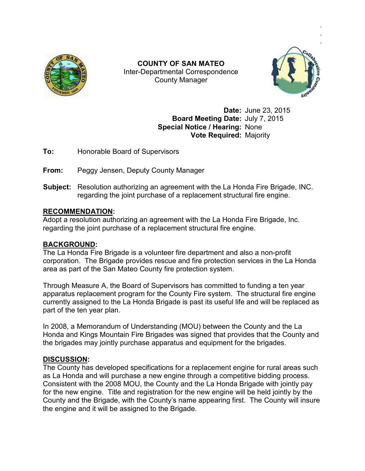

Inter Inter-Departmental Correspondence **COUNTY OF SAN MATEO**  County Manager



**Date:** June 23, 2015 **Board Meeting Date:** July 7, 2015 **Special Notice / Hearing:** None **Vote Required:** Majority June 23, 2015<br>July 7, 2015<br>None<br>Majority<br>Majority<br>Ida Fire Brigade, II<br>Fire Brigade, Inc.

**To:** Honorable Board of Supervisors

**From:** Peggy Jensen, Deputy County Manager

**Subject:** Resolution authorizing an agreement with the La Honda Fire Brigade, INC. regarding the joint purchase of a replacement structural fire engine. ard of Supervisors<br>
1, Deputy County Manager<br>
thorizing an agreement with the La Honda Fire Brigade, INC.<br>joint purchase of a replacement structural fire engine.<br>rizing an agreement with the La Honda Fire Brigade, Inc.

## **RECOMMENDATION:**

Adopt a resolution authorizing an agreement with the La Honda Fire Brigade, Inc. regarding the joint purchase of a replacement structural fire engine.

## **BACKGROUND:**

The La Honda Fire Brigade is a volunteer fire department and also a non corporation. The Brigade provides rescue and fire protectio area as part of the San Mateo County fire protection system. joint purchase of a replacement structural fire engine.<br>Notastical services in the Services in the Brigade is a volunteer fire department and also a non-profit<br>The Brigade provides rescue and fire protection services in th non-profit

Through Measure A, the Board of Supervisors has committed to funding a ten year apparatus replacement program for the County Fire system. The structural fire engine currently assigned to the La Honda Brigade is past its useful life and will be replaced as part of the ten year plan. area as part of the San Mateo County fire protection system.<br>Through Measure A, the Board of Supervisors has committed to funding a ten year<br>apparatus replacement program for the County Fire system. The structural fire eng n service<br>ed to fun<br>The sti<br>I life and<br>the Cour<br>rovides t<br>for the<br>engine t<br>engine t

In 2008, a Memorandum of Understanding (MOU) between the County and the La Honda and Kings Mountain Fire Brigades was signed that provides that the County and the brigades may jointly purchase apparatus and equipment for the brigades.

## **DISCUSSION:**

The County has developed specifications for a replacement engine for rural areas such The County has developed specifications for a replacement engine for rural areas such<br>as La Honda and will purchase a new engine through a competitive bidding process. Consistent with the 2008 MOU, the County and the La Honda Brigade with jointly pay for the new engine. Title and registration for the new engine will be held jointly by the Consistent with the 2008 MOU, the County and the La Honda Brigade with jointly pay<br>for the new engine. Title and registration for the new engine will be held jointly by the<br>County and the Brigade, with the County's name a the engine and it will be assigned to the Brigade. COUNTY OF SAN MATEO<br>
Inter-Departmental Correspondence<br>
County Mianger<br>
County Mianger<br>
Date: June 23, 2015<br>
Special Notica / Hearing: None<br>
Vote Required: Majority<br>
Honorable Board of Supervisors<br>
The Special Notica / Hea